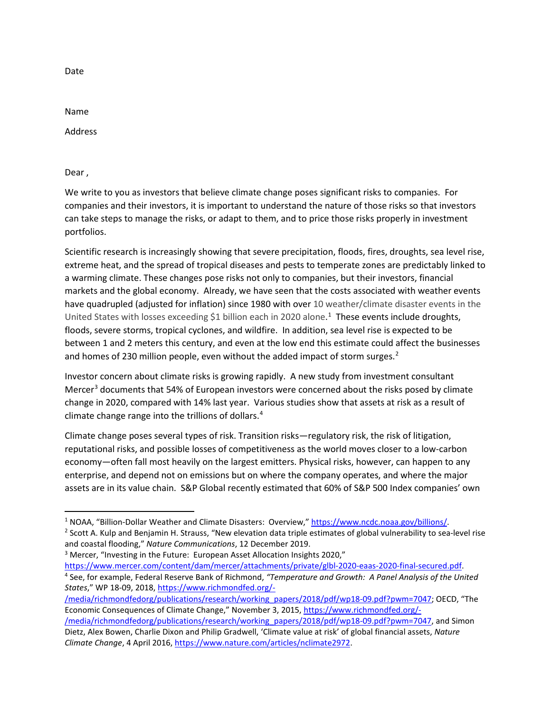Date

Name

Address

Dear ,

We write to you as investors that believe climate change poses significant risks to companies. For companies and their investors, it is important to understand the nature of those risks so that investors can take steps to manage the risks, or adapt to them, and to price those risks properly in investment portfolios.

Scientific research is increasingly showing that severe precipitation, floods, fires, droughts, sea level rise, extreme heat, and the spread of tropical diseases and pests to temperate zones are predictably linked to a warming climate. These changes pose risks not only to companies, but their investors, financial markets and the global economy. Already, we have seen that the costs associated with weather events have quadrupled (adjusted for inflation) since 1980 with over 10 weather/climate disaster events in the United States with losses exceeding \$[1](#page-0-0) billion each in 2020 alone.<sup>1</sup> These events include droughts, floods, severe storms, tropical cyclones, and wildfire. In addition, sea level rise is expected to be between 1 and 2 meters this century, and even at the low end this estimate could affect the businesses and homes of [2](#page-0-1)30 million people, even without the added impact of storm surges.<sup>2</sup>

Investor concern about climate risks is growing rapidly. A new study from investment consultant Mercer<sup>[3](#page-0-2)</sup> documents that 54% of European investors were concerned about the risks posed by climate change in 2020, compared with 14% last year. Various studies show that assets at risk as a result of climate change range into the trillions of dollars.[4](#page-0-3)

Climate change poses several types of risk. Transition risks—regulatory risk, the risk of litigation, reputational risks, and possible losses of competitiveness as the world moves closer to a low-carbon economy—often fall most heavily on the largest emitters. Physical risks, however, can happen to any enterprise, and depend not on emissions but on where the company operates, and where the major assets are in its value chain. S&P Global recently estimated that 60% of S&P 500 Index companies' own

<span id="page-0-0"></span><sup>1</sup> NOAA, "Billion-Dollar Weather and Climate Disasters: Overview," [https://www.ncdc.noaa.gov/billions/.](https://www.ncdc.noaa.gov/billions/)

<span id="page-0-1"></span><sup>&</sup>lt;sup>2</sup> Scott A. Kulp and Benjamin H. Strauss, "New elevation data triple estimates of global vulnerability to sea-level rise and coastal flooding," *Nature Communications*, 12 December 2019.

<span id="page-0-2"></span><sup>&</sup>lt;sup>3</sup> Mercer, "Investing in the Future: European Asset Allocation Insights 2020,"

<span id="page-0-3"></span>[https://www.mercer.com/content/dam/mercer/attachments/private/glbl-2020-eaas-2020-final-secured.pdf.](https://www.mercer.com/content/dam/mercer/attachments/private/glbl-2020-eaas-2020-final-secured.pdf) <sup>4</sup> See, for example, Federal Reserve Bank of Richmond, *"Temperature and Growth: A Panel Analysis of the United States*," WP 18-09, 2018[, https://www.richmondfed.org/-](https://www.richmondfed.org/-/media/richmondfedorg/publications/research/working_papers/2018/pdf/wp18-09.pdf?pwm=7047)

[<sup>/</sup>media/richmondfedorg/publications/research/working\\_papers/2018/pdf/wp18-09.pdf?pwm=7047;](https://www.richmondfed.org/-/media/richmondfedorg/publications/research/working_papers/2018/pdf/wp18-09.pdf?pwm=7047) OECD, "The Economic Consequences of Climate Change," November 3, 2015[, https://www.richmondfed.org/-](https://www.richmondfed.org/-/media/richmondfedorg/publications/research/working_papers/2018/pdf/wp18-09.pdf?pwm=7047)

[<sup>/</sup>media/richmondfedorg/publications/research/working\\_papers/2018/pdf/wp18-09.pdf?pwm=7047,](https://www.richmondfed.org/-/media/richmondfedorg/publications/research/working_papers/2018/pdf/wp18-09.pdf?pwm=7047) and Simon Dietz, Alex Bowen, Charlie Dixon and Philip Gradwell, 'Climate value at risk' of global financial assets, *Nature Climate Change*, 4 April 2016, [https://www.nature.com/articles/nclimate2972.](https://www.nature.com/articles/nclimate2972)